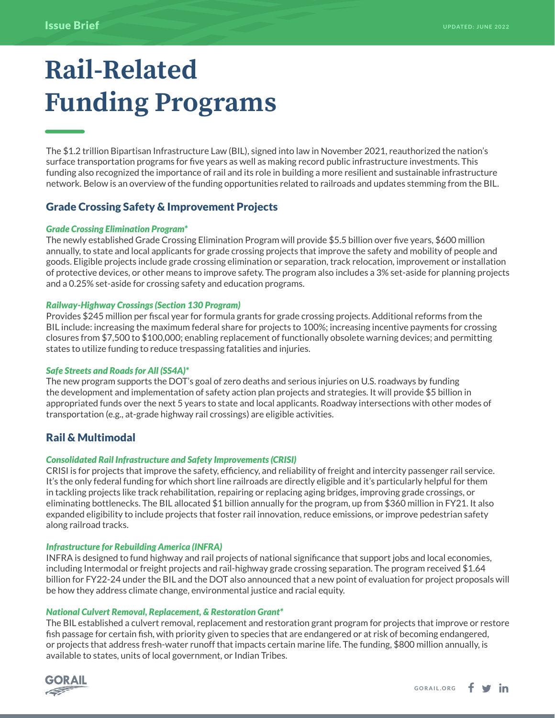# **Rail-Related Funding Programs**

The \$1.2 trillion Bipartisan Infrastructure Law (BIL), signed into law in November 2021, reauthorized the nation's surface transportation programs for five years as well as making record public infrastructure investments. This funding also recognized the importance of rail and its role in building a more resilient and sustainable infrastructure network. Below is an overview of the funding opportunities related to railroads and updates stemming from the BIL.

# Grade Crossing Safety & Improvement Projects

#### *Grade Crossing Elimination Program\**

The newly established Grade Crossing Elimination Program will provide \$5.5 billion over five years, \$600 million annually, to state and local applicants for grade crossing projects that improve the safety and mobility of people and goods. Eligible projects include grade crossing elimination or separation, track relocation, improvement or installation of protective devices, or other means to improve safety. The program also includes a 3% set-aside for planning projects and a 0.25% set-aside for crossing safety and education programs.

#### *Railway-Highway Crossings (Section 130 Program)*

Provides \$245 million per fiscal year for formula grants for grade crossing projects. Additional reforms from the BIL include: increasing the maximum federal share for projects to 100%; increasing incentive payments for crossing closures from \$7,500 to \$100,000; enabling replacement of functionally obsolete warning devices; and permitting states to utilize funding to reduce trespassing fatalities and injuries.

#### *Safe Streets and Roads for All (SS4A)\**

The new program supports the DOT's goal of zero deaths and serious injuries on U.S. roadways by funding the development and implementation of safety action plan projects and strategies. It will provide \$5 billion in appropriated funds over the next 5 years to state and local applicants. Roadway intersections with other modes of transportation (e.g., at-grade highway rail crossings) are eligible activities.

# Rail & Multimodal

#### *Consolidated Rail Infrastructure and Safety Improvements (CRISI)*

CRISI is for projects that improve the safety, efficiency, and reliability of freight and intercity passenger rail service. It's the only federal funding for which short line railroads are directly eligible and it's particularly helpful for them in tackling projects like track rehabilitation, repairing or replacing aging bridges, improving grade crossings, or eliminating bottlenecks. The BIL allocated \$1 billion annually for the program, up from \$360 million in FY21. It also expanded eligibility to include projects that foster rail innovation, reduce emissions, or improve pedestrian safety along railroad tracks.

#### *Infrastructure for Rebuilding America (INFRA)*

INFRA is designed to fund highway and rail projects of national significance that support jobs and local economies, including Intermodal or freight projects and rail-highway grade crossing separation. The program received \$1.64 billion for FY22-24 under the BIL and the DOT also announced that a new point of evaluation for project proposals will be how they address climate change, environmental justice and racial equity.

#### *National Culvert Removal, Replacement, & Restoration Grant\**

The BIL established a culvert removal, replacement and restoration grant program for projects that improve or restore fish passage for certain fish, with priority given to species that are endangered or at risk of becoming endangered, or projects that address fresh-water runoff that impacts certain marine life. The funding, \$800 million annually, is available to states, units of local government, or Indian Tribes.